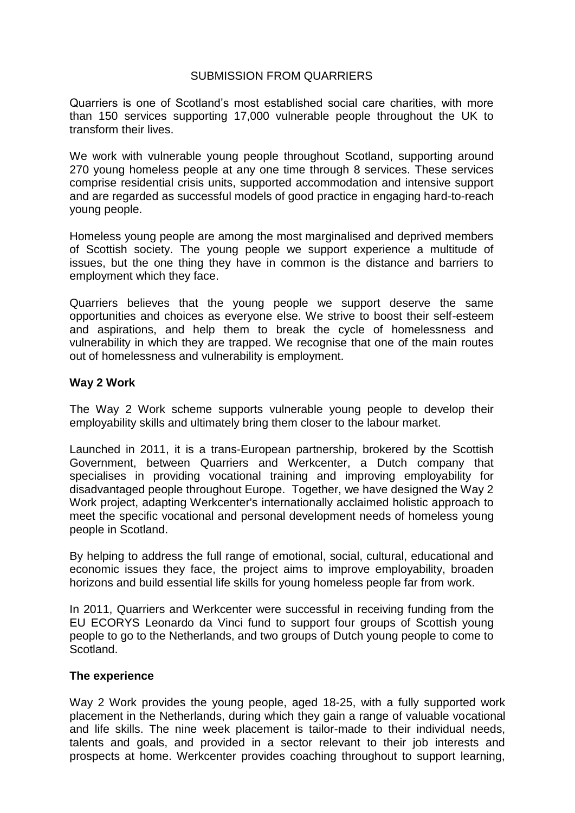# SUBMISSION FROM QUARRIERS

Quarriers is one of Scotland's most established social care charities, with more than 150 services supporting 17,000 vulnerable people throughout the UK to transform their lives.

We work with vulnerable young people throughout Scotland, supporting around 270 young homeless people at any one time through 8 services. These services comprise residential crisis units, supported accommodation and intensive support and are regarded as successful models of good practice in engaging hard-to-reach young people.

Homeless young people are among the most marginalised and deprived members of Scottish society. The young people we support experience a multitude of issues, but the one thing they have in common is the distance and barriers to employment which they face.

Quarriers believes that the young people we support deserve the same opportunities and choices as everyone else. We strive to boost their self-esteem and aspirations, and help them to break the cycle of homelessness and vulnerability in which they are trapped. We recognise that one of the main routes out of homelessness and vulnerability is employment.

# **Way 2 Work**

The Way 2 Work scheme supports vulnerable young people to develop their employability skills and ultimately bring them closer to the labour market.

Launched in 2011, it is a trans-European partnership, brokered by the Scottish Government, between Quarriers and Werkcenter, a Dutch company that specialises in providing vocational training and improving employability for disadvantaged people throughout Europe. Together, we have designed the Way 2 Work project, adapting Werkcenter's internationally acclaimed holistic approach to meet the specific vocational and personal development needs of homeless young people in Scotland.

By helping to address the full range of emotional, social, cultural, educational and economic issues they face, the project aims to improve employability, broaden horizons and build essential life skills for young homeless people far from work.

In 2011, Quarriers and Werkcenter were successful in receiving funding from the EU ECORYS Leonardo da Vinci fund to support four groups of Scottish young people to go to the Netherlands, and two groups of Dutch young people to come to Scotland.

# **The experience**

Way 2 Work provides the young people, aged 18-25, with a fully supported work placement in the Netherlands, during which they gain a range of valuable vocational and life skills. The nine week placement is tailor-made to their individual needs, talents and goals, and provided in a sector relevant to their job interests and prospects at home. Werkcenter provides coaching throughout to support learning,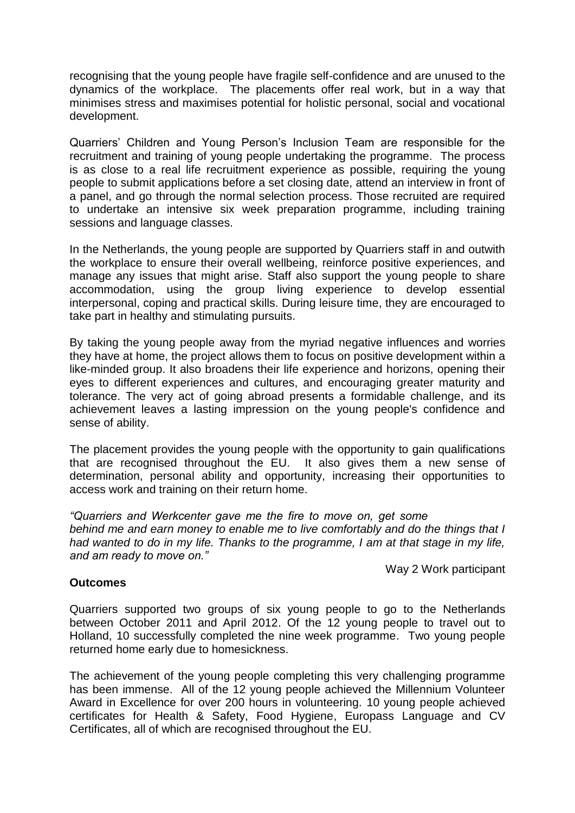recognising that the young people have fragile self-confidence and are unused to the dynamics of the workplace. The placements offer real work, but in a way that minimises stress and maximises potential for holistic personal, social and vocational development.

Quarriers' Children and Young Person's Inclusion Team are responsible for the recruitment and training of young people undertaking the programme. The process is as close to a real life recruitment experience as possible, requiring the young people to submit applications before a set closing date, attend an interview in front of a panel, and go through the normal selection process. Those recruited are required to undertake an intensive six week preparation programme, including training sessions and language classes.

In the Netherlands, the young people are supported by Quarriers staff in and outwith the workplace to ensure their overall wellbeing, reinforce positive experiences, and manage any issues that might arise. Staff also support the young people to share accommodation, using the group living experience to develop essential interpersonal, coping and practical skills. During leisure time, they are encouraged to take part in healthy and stimulating pursuits.

By taking the young people away from the myriad negative influences and worries they have at home, the project allows them to focus on positive development within a like-minded group. It also broadens their life experience and horizons, opening their eyes to different experiences and cultures, and encouraging greater maturity and tolerance. The very act of going abroad presents a formidable challenge, and its achievement leaves a lasting impression on the young people's confidence and sense of ability.

The placement provides the young people with the opportunity to gain qualifications that are recognised throughout the EU. It also gives them a new sense of determination, personal ability and opportunity, increasing their opportunities to access work and training on their return home.

*"Quarriers and Werkcenter gave me the fire to move on, get some sort of career behind me and earn money to enable me to live comfortably and do the things that I had wanted to do in my life. Thanks to the programme, I am at that stage in my life, and am ready to move on."* 

Way 2 Work participant

# **Outcomes**

Quarriers supported two groups of six young people to go to the Netherlands between October 2011 and April 2012. Of the 12 young people to travel out to Holland, 10 successfully completed the nine week programme. Two young people returned home early due to homesickness.

The achievement of the young people completing this very challenging programme has been immense. All of the 12 young people achieved the Millennium Volunteer Award in Excellence for over 200 hours in volunteering. 10 young people achieved certificates for Health & Safety, Food Hygiene, Europass Language and CV Certificates, all of which are recognised throughout the EU.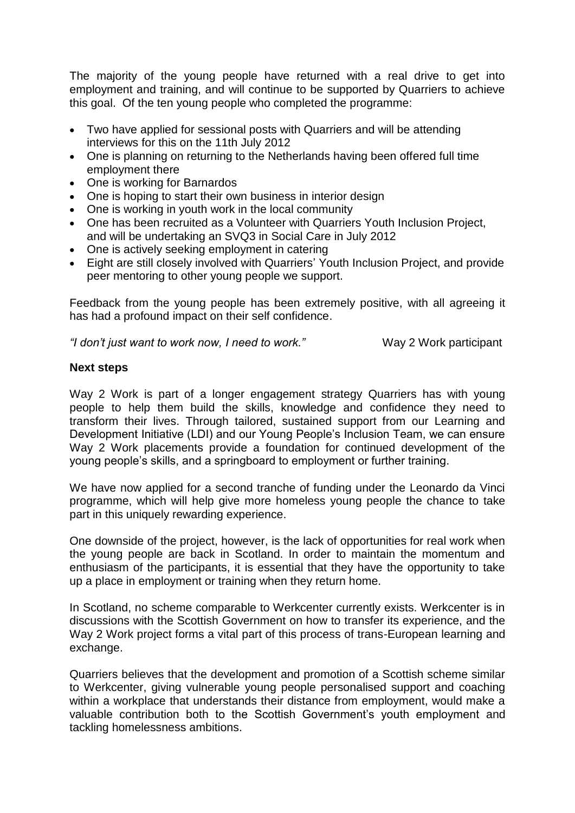The majority of the young people have returned with a real drive to get into employment and training, and will continue to be supported by Quarriers to achieve this goal. Of the ten young people who completed the programme:

- Two have applied for sessional posts with Quarriers and will be attending interviews for this on the 11th July 2012
- One is planning on returning to the Netherlands having been offered full time employment there
- One is working for Barnardos
- One is hoping to start their own business in interior design
- One is working in youth work in the local community
- One has been recruited as a Volunteer with Quarriers Youth Inclusion Project, and will be undertaking an SVQ3 in Social Care in July 2012
- One is actively seeking employment in catering
- Eight are still closely involved with Quarriers' Youth Inclusion Project, and provide peer mentoring to other young people we support.

Feedback from the young people has been extremely positive, with all agreeing it has had a profound impact on their self confidence.

*"I don't just want to work now, I need to work."* Way 2 Work participant

# **Next steps**

Way 2 Work is part of a longer engagement strategy Quarriers has with young people to help them build the skills, knowledge and confidence they need to transform their lives. Through tailored, sustained support from our Learning and Development Initiative (LDI) and our Young People's Inclusion Team, we can ensure Way 2 Work placements provide a foundation for continued development of the young people's skills, and a springboard to employment or further training.

We have now applied for a second tranche of funding under the Leonardo da Vinci programme, which will help give more homeless young people the chance to take part in this uniquely rewarding experience.

One downside of the project, however, is the lack of opportunities for real work when the young people are back in Scotland. In order to maintain the momentum and enthusiasm of the participants, it is essential that they have the opportunity to take up a place in employment or training when they return home.

In Scotland, no scheme comparable to Werkcenter currently exists. Werkcenter is in discussions with the Scottish Government on how to transfer its experience, and the Way 2 Work project forms a vital part of this process of trans-European learning and exchange.

Quarriers believes that the development and promotion of a Scottish scheme similar to Werkcenter, giving vulnerable young people personalised support and coaching within a workplace that understands their distance from employment, would make a valuable contribution both to the Scottish Government's youth employment and tackling homelessness ambitions.